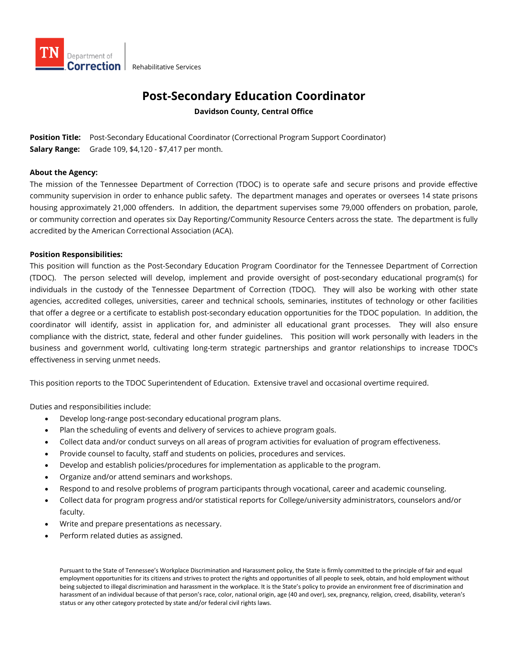

## **Post-Secondary Education Coordinator**

**Davidson County, Central Office**

**Position Title:** Post-Secondary Educational Coordinator (Correctional Program Support Coordinator) **Salary Range:** Grade 109, \$4,120 - \$7,417 per month.

## **About the Agency:**

The mission of the Tennessee Department of Correction (TDOC) is to operate safe and secure prisons and provide effective community supervision in order to enhance public safety. The department manages and operates or oversees 14 state prisons housing approximately 21,000 offenders. In addition, the department supervises some 79,000 offenders on probation, parole, or community correction and operates six Day Reporting/Community Resource Centers across the state. The department is fully accredited by the American Correctional Association (ACA).

## **Position Responsibilities:**

This position will function as the Post-Secondary Education Program Coordinator for the Tennessee Department of Correction (TDOC). The person selected will develop, implement and provide oversight of post-secondary educational program(s) for individuals in the custody of the Tennessee Department of Correction (TDOC). They will also be working with other state agencies, accredited colleges, universities, career and technical schools, seminaries, institutes of technology or other facilities that offer a degree or a certificate to establish post-secondary education opportunities for the TDOC population. In addition, the coordinator will identify, assist in application for, and administer all educational grant processes. They will also ensure compliance with the district, state, federal and other funder guidelines. This position will work personally with leaders in the business and government world, cultivating long-term strategic partnerships and grantor relationships to increase TDOC's effectiveness in serving unmet needs.

This position reports to the TDOC Superintendent of Education. Extensive travel and occasional overtime required.

Duties and responsibilities include:

- Develop long-range post-secondary educational program plans.
- Plan the scheduling of events and delivery of services to achieve program goals.
- Collect data and/or conduct surveys on all areas of program activities for evaluation of program effectiveness.
- Provide counsel to faculty, staff and students on policies, procedures and services.
- Develop and establish policies/procedures for implementation as applicable to the program.
- Organize and/or attend seminars and workshops.
- Respond to and resolve problems of program participants through vocational, career and academic counseling.
- Collect data for program progress and/or statistical reports for College/university administrators, counselors and/or faculty.
- Write and prepare presentations as necessary.
- Perform related duties as assigned.

Pursuant to the State of Tennessee's Workplace Discrimination and Harassment policy, the State is firmly committed to the principle of fair and equal employment opportunities for its citizens and strives to protect the rights and opportunities of all people to seek, obtain, and hold employment without being subjected to illegal discrimination and harassment in the workplace. It is the State's policy to provide an environment free of discrimination and harassment of an individual because of that person's race, color, national origin, age (40 and over), sex, pregnancy, religion, creed, disability, veteran's status or any other category protected by state and/or federal civil rights laws.